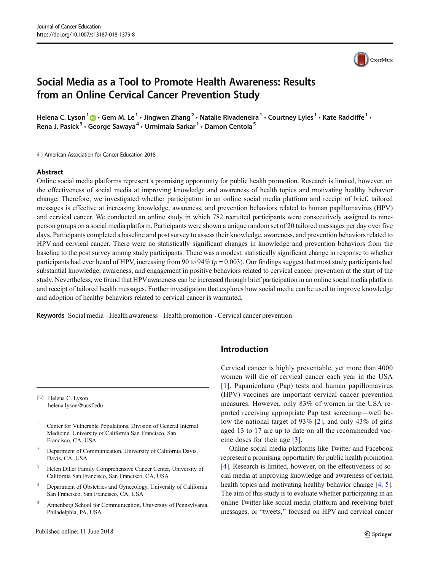## Social Media as a Tool to Promote Health Awareness: Results from an Online Cervical Cancer Prevention Study

Helena C. Lyson<sup>1</sup>  $\bigcirc$  Gem M. Le<sup>1</sup>  $\cdot$  Jingwen Zhang<sup>2</sup>  $\cdot$  Natalie Rivadeneira<sup>1</sup>  $\cdot$  Courtney Lyles<sup>1</sup>  $\cdot$  Kate Radcliffe<sup>1</sup>  $\cdot$ Rena J. Pasick<sup>3</sup> · George Sawaya<sup>4</sup> · Urmimala Sarkar<sup>1</sup> · Damon Centola<sup>5</sup>

 $\circled{c}$  American Association for Cancer Education 2018

#### Abstract

Online social media platforms represent a promising opportunity for public health promotion. Research is limited, however, on the effectiveness of social media at improving knowledge and awareness of health topics and motivating healthy behavior change. Therefore, we investigated whether participation in an online social media platform and receipt of brief, tailored messages is effective at increasing knowledge, awareness, and prevention behaviors related to human papillomavirus (HPV) and cervical cancer. We conducted an online study in which 782 recruited participants were consecutively assigned to nineperson groups on a social media platform. Participants were shown a unique random set of 20 tailored messages per day over five days. Participants completed a baseline and post survey to assess their knowledge, awareness, and prevention behaviors related to HPV and cervical cancer. There were no statistically significant changes in knowledge and prevention behaviors from the baseline to the post survey among study participants. There was a modest, statistically significant change in response to whether participants had ever heard of HPV, increasing from 90 to 94% ( $p = 0.003$ ). Our findings suggest that most study participants had substantial knowledge, awareness, and engagement in positive behaviors related to cervical cancer prevention at the start of the study. Nevertheless, we found that HPVawareness can be increased through brief participation in an online social media platform and receipt of tailored health messages. Further investigation that explores how social media can be used to improve knowledge and adoption of healthy behaviors related to cervical cancer is warranted.

Keywords Social media . Health awareness . Health promotion . Cervical cancer prevention

 $\boxtimes$  Helena C. Lyson [helena.lyson@ucsf.edu](mailto:helena.lyson@ucsf.edu)

- <sup>1</sup> Center for Vulnerable Populations, Division of General Internal Medicine, University of California San Francisco, San Francisco, CA, USA
- <sup>2</sup> Department of Communication, University of California Davis, Davis, CA, USA
- <sup>3</sup> Helen Diller Family Comprehensive Cancer Center, University of California San Francisco, San Francisco, CA, USA
- <sup>4</sup> Department of Obstetrics and Gynecology, University of California San Francisco, San Francisco, CA, USA
- <sup>5</sup> Annenberg School for Communication, University of Pennsylvania, Philadelphia, PA, USA

## Introduction

Cervical cancer is highly preventable, yet more than 4000 women will die of cervical cancer each year in the USA [[1\]](#page-3-0). Papanicolaou (Pap) tests and human papillomavirus (HPV) vaccines are important cervical cancer prevention measures. However, only 83% of women in the USA reported receiving appropriate Pap test screening—well below the national target of 93% [\[2](#page-3-0)], and only 43% of girls aged 13 to 17 are up to date on all the recommended vaccine doses for their age [[3](#page-3-0)].

Online social media platforms like Twitter and Facebook represent a promising opportunity for public health promotion [\[4](#page-3-0)]. Research is limited, however, on the effectiveness of social media at improving knowledge and awareness of certain health topics and motivating healthy behavior change [\[4](#page-3-0), [5\]](#page-3-0). The aim of this study is to evaluate whether participating in an online Twitter-like social media platform and receiving brief messages, or "tweets," focused on HPV and cervical cancer

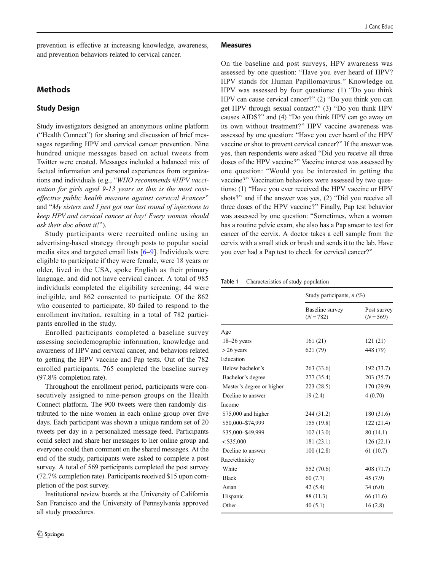<span id="page-1-0"></span>prevention is effective at increasing knowledge, awareness, and prevention behaviors related to cervical cancer.

### **Methods**

### Study Design

Study investigators designed an anonymous online platform ("Health Connect") for sharing and discussion of brief messages regarding HPV and cervical cancer prevention. Nine hundred unique messages based on actual tweets from Twitter were created. Messages included a balanced mix of factual information and personal experiences from organizations and individuals (e.g., "WHO recommends #HPV vaccination for girls aged 9-13 years as this is the most costeffective public health measure against cervical #cancer" and " $My$  sisters and I just got our last round of injections to keep HPV and cervical cancer at bay! Every woman should ask their doc about it!").

Study participants were recruited online using an advertising-based strategy through posts to popular social media sites and targeted email lists [[6](#page-3-0)–[9](#page-3-0)]. Individuals were eligible to participate if they were female, were 18 years or older, lived in the USA, spoke English as their primary language, and did not have cervical cancer. A total of 985 individuals completed the eligibility screening; 44 were ineligible, and 862 consented to participate. Of the 862 who consented to participate, 80 failed to respond to the enrollment invitation, resulting in a total of 782 participants enrolled in the study.

Enrolled participants completed a baseline survey assessing sociodemographic information, knowledge and awareness of HPV and cervical cancer, and behaviors related to getting the HPV vaccine and Pap tests. Out of the 782 enrolled participants, 765 completed the baseline survey (97.8% completion rate).

Throughout the enrollment period, participants were consecutively assigned to nine-person groups on the Health Connect platform. The 900 tweets were then randomly distributed to the nine women in each online group over five days. Each participant was shown a unique random set of 20 tweets per day in a personalized message feed. Participants could select and share her messages to her online group and everyone could then comment on the shared messages. At the end of the study, participants were asked to complete a post survey. A total of 569 participants completed the post survey (72.7% completion rate). Participants received \$15 upon completion of the post survey.

Institutional review boards at the University of California San Francisco and the University of Pennsylvania approved all study procedures.

#### Measures

On the baseline and post surveys, HPV awareness was assessed by one question: "Have you ever heard of HPV? HPV stands for Human Papillomavirus.^ Knowledge on HPV was assessed by four questions:  $(1)$  "Do you think HPV can cause cervical cancer?"  $(2)$  "Do you think you can get HPV through sexual contact?"  $(3)$  "Do you think HPV causes AIDS?" and  $(4)$  "Do you think HPV can go away on its own without treatment?" HPV vaccine awareness was assessed by one question: "Have you ever heard of the HPV vaccine or shot to prevent cervical cancer?" If the answer was yes, then respondents were asked "Did you receive all three doses of the HPV vaccine?" Vaccine interest was assessed by one question: "Would you be interested in getting the vaccine?" Vaccination behaviors were assessed by two questions: (1) "Have you ever received the HPV vaccine or HPV shots?" and if the answer was yes,  $(2)$  "Did you receive all three doses of the HPV vaccine?^ Finally, Pap test behavior was assessed by one question: "Sometimes, when a woman has a routine pelvic exam, she also has a Pap smear to test for cancer of the cervix. A doctor takes a cell sample from the cervix with a small stick or brush and sends it to the lab. Have you ever had a Pap test to check for cervical cancer?"

Table 1 Characteristics of study population

|                           | Study participants, $n$ (%)    |                            |  |  |
|---------------------------|--------------------------------|----------------------------|--|--|
|                           | Baseline survey<br>$(N = 782)$ | Post survey<br>$(N = 569)$ |  |  |
| Age                       |                                |                            |  |  |
| $18-26$ years             | 161(21)                        | 121(21)                    |  |  |
| $>$ 26 years              | 621 (79)                       | 448 (79)                   |  |  |
| Education                 |                                |                            |  |  |
| Below bachelor's          | 263 (33.6)                     | 192 (33.7)                 |  |  |
| Bachelor's degree         | 277 (35.4)                     | 203 (35.7)                 |  |  |
| Master's degree or higher | 223 (28.5)                     | 170 (29.9)                 |  |  |
| Decline to answer         | 19(2.4)                        | 4(0.70)                    |  |  |
| Income                    |                                |                            |  |  |
| \$75,000 and higher       | 244 (31.2)                     | 180 (31.6)                 |  |  |
| \$50,000-\$74,999         | 155 (19.8)                     | 122 (21.4)                 |  |  |
| \$35,000-\$49,999         | 102(13.0)                      | 80(14.1)                   |  |  |
| $<$ \$35,000              | 181(23.1)                      | 126(22.1)                  |  |  |
| Decline to answer         | 100(12.8)                      | 61(10.7)                   |  |  |
| Race/ethnicity            |                                |                            |  |  |
| White                     | 552 (70.6)                     | 408 (71.7)                 |  |  |
| <b>Black</b>              | 60 (7.7)                       | 45 (7.9)                   |  |  |
| Asian                     | 42(5.4)                        | 34(6.0)                    |  |  |
| Hispanic                  | 88 (11.3)                      | 66 (11.6)                  |  |  |
| Other                     | 40(5.1)                        | 16(2.8)                    |  |  |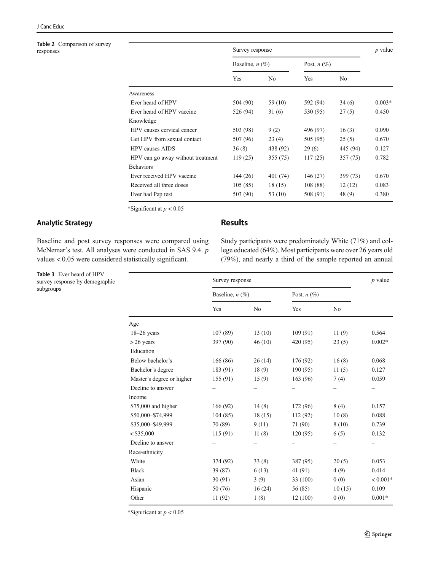## <span id="page-2-0"></span>Table 2 Comparison of survey<br>responses

|                                   | Survey response   |           |               |          | $p$ value |
|-----------------------------------|-------------------|-----------|---------------|----------|-----------|
|                                   | Baseline, $n(\%)$ |           | Post, $n$ (%) |          |           |
|                                   | Yes               | No        | Yes           | No       |           |
| Awareness                         |                   |           |               |          |           |
| Ever heard of HPV                 | 504 (90)          | 59 (10)   | 592 (94)      | 34(6)    | $0.003*$  |
| Ever heard of HPV vaccine         | 526 (94)          | 31(6)     | 530 (95)      | 27(5)    | 0.450     |
| Knowledge                         |                   |           |               |          |           |
| HPV causes cervical cancer        | 503 (98)          | 9(2)      | 496 (97)      | 16(3)    | 0.090     |
| Get HPV from sexual contact       | 507 (96)          | 23(4)     | 505 (95)      | 25(5)    | 0.670     |
| <b>HPV</b> causes AIDS            | 36(8)             | 438 (92)  | 29(6)         | 445 (94) | 0.127     |
| HPV can go away without treatment | 119(25)           | 355(75)   | 117(25)       | 357 (75) | 0.782     |
| <b>Behaviors</b>                  |                   |           |               |          |           |
| Ever received HPV vaccine         | 144(26)           | 401 (74)  | 146(27)       | 399 (73) | 0.670     |
| Received all three doses          | 105(85)           | 18(15)    | 108 (88)      | 12(12)   | 0.083     |
| Ever had Pap test                 | 503 (90)          | 53 $(10)$ | 508 (91)      | 48 (9)   | 0.380     |
|                                   |                   |           |               |          |           |

\*Significant at  $p < 0.05$ 

### Analytic Strategy

Baseline and post survey responses were compared using McNemar's test. All analyses were conducted in SAS 9.4. p values < 0.05 were considered statistically significant.

Table 3 Ever heard of HPV survey response by demographic subgroups

# Results

Study participants were predominately White (71%) and college educated (64%). Most participants were over 26 years old (79%), and nearly a third of the sample reported an annual

|                           | Survey response   |                |               |                | $p$ value  |
|---------------------------|-------------------|----------------|---------------|----------------|------------|
|                           | Baseline, $n$ (%) |                | Post, $n(\%)$ |                |            |
|                           | Yes               | N <sub>0</sub> | Yes           | N <sub>0</sub> |            |
| Age                       |                   |                |               |                |            |
| $18-26$ years             | 107(89)           | 13(10)         | 109(91)       | 11(9)          | 0.564      |
| $> 26$ years              | 397 (90)          | 46(10)         | 420 (95)      | 23(5)          | $0.002*$   |
| Education                 |                   |                |               |                |            |
| Below bachelor's          | 166(86)           | 26(14)         | 176 (92)      | 16(8)          | 0.068      |
| Bachelor's degree         | 183 (91)          | 18(9)          | 190(95)       | 11(5)          | 0.127      |
| Master's degree or higher | 155(91)           | 15(9)          | 163 (96)      | 7(4)           | 0.059      |
| Decline to answer         |                   |                |               |                |            |
| Income                    |                   |                |               |                |            |
| \$75,000 and higher       | 166(92)           | 14(8)          | 172 (96)      | 8(4)           | 0.157      |
| \$50,000-\$74,999         | 104(85)           | 18(15)         | 112(92)       | 10(8)          | 0.088      |
| \$35,000-\$49,999         | 70 (89)           | 9(11)          | 71 (90)       | 8(10)          | 0.739      |
| $<$ \$35,000              | 115(91)           | 11(8)          | 120(95)       | 6(5)           | 0.132      |
| Decline to answer         |                   |                |               |                |            |
| Race/ethnicity            |                   |                |               |                |            |
| White                     | 374 (92)          | 33(8)          | 387 (95)      | 20(5)          | 0.053      |
| <b>Black</b>              | 39 (87)           | 6(13)          | 41 (91)       | 4(9)           | 0.414      |
| Asian                     | 30(91)            | 3(9)           | 33 (100)      | 0(0)           | $< 0.001*$ |
| Hispanic                  | 50 (76)           | 16(24)         | 56 (85)       | 10(15)         | 0.109      |
| Other                     | 11 (92)           | 1(8)           | 12(100)       | 0(0)           | $0.001*$   |

\*Significant at  $p < 0.05$